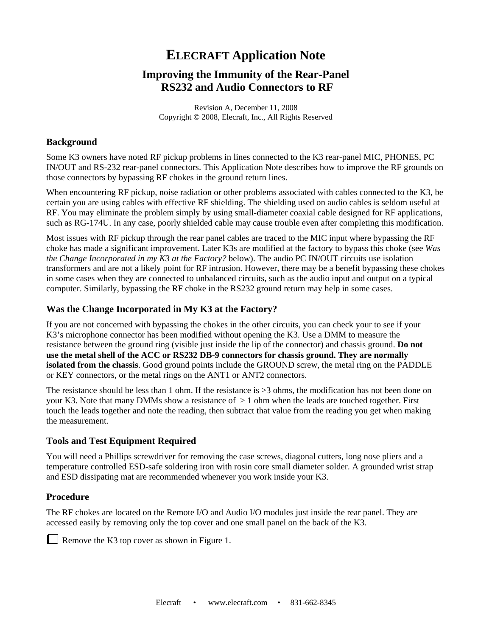# **ELECRAFT Application Note**

## **Improving the Immunity of the Rear-Panel RS232 and Audio Connectors to RF**

Revision A, December 11, 2008 Copyright © 2008, Elecraft, Inc., All Rights Reserved

#### **Background**

Some K3 owners have noted RF pickup problems in lines connected to the K3 rear-panel MIC, PHONES, PC IN/OUT and RS-232 rear-panel connectors. This Application Note describes how to improve the RF grounds on those connectors by bypassing RF chokes in the ground return lines.

When encountering RF pickup, noise radiation or other problems associated with cables connected to the K3, be certain you are using cables with effective RF shielding. The shielding used on audio cables is seldom useful at RF. You may eliminate the problem simply by using small-diameter coaxial cable designed for RF applications, such as RG-174U. In any case, poorly shielded cable may cause trouble even after completing this modification.

Most issues with RF pickup through the rear panel cables are traced to the MIC input where bypassing the RF choke has made a significant improvement. Later K3s are modified at the factory to bypass this choke (see *Was the Change Incorporated in my K3 at the Factory?* below). The audio PC IN/OUT circuits use isolation transformers and are not a likely point for RF intrusion. However, there may be a benefit bypassing these chokes in some cases when they are connected to unbalanced circuits, such as the audio input and output on a typical computer. Similarly, bypassing the RF choke in the RS232 ground return may help in some cases.

### **Was the Change Incorporated in My K3 at the Factory?**

If you are not concerned with bypassing the chokes in the other circuits, you can check your to see if your K3's microphone connector has been modified without opening the K3. Use a DMM to measure the resistance between the ground ring (visible just inside the lip of the connector) and chassis ground. **Do not use the metal shell of the ACC or RS232 DB-9 connectors for chassis ground. They are normally isolated from the chassis**. Good ground points include the GROUND screw, the metal ring on the PADDLE or KEY connectors, or the metal rings on the ANT1 or ANT2 connectors.

The resistance should be less than 1 ohm. If the resistance is >3 ohms, the modification has not been done on your K3. Note that many DMMs show a resistance of  $> 1$  ohm when the leads are touched together. First touch the leads together and note the reading, then subtract that value from the reading you get when making the measurement.

### **Tools and Test Equipment Required**

You will need a Phillips screwdriver for removing the case screws, diagonal cutters, long nose pliers and a temperature controlled ESD-safe soldering iron with rosin core small diameter solder. A grounded wrist strap and ESD dissipating mat are recommended whenever you work inside your K3.

### **Procedure**

The RF chokes are located on the Remote I/O and Audio I/O modules just inside the rear panel. They are accessed easily by removing only the top cover and one small panel on the back of the K3.

Remove the K3 top cover as shown in Figure 1.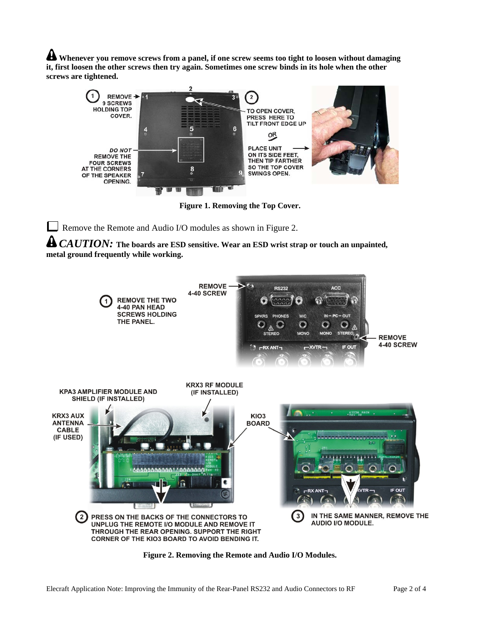**Whenever you remove screws from a panel, if one screw seems too tight to loosen without damaging it, first loosen the other screws then try again. Sometimes one screw binds in its hole when the other screws are tightened.**



**Figure 1. Removing the Top Cover.** 

Remove the Remote and Audio I/O modules as shown in Figure 2.

*CAUTION:* **The boards are ESD sensitive. Wear an ESD wrist strap or touch an unpainted, metal ground frequently while working.** 



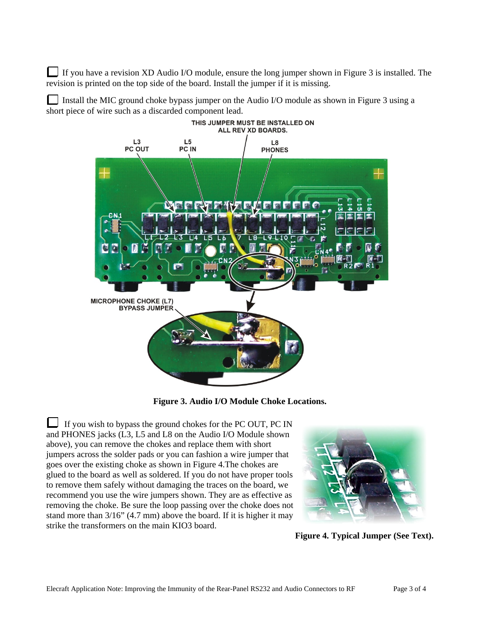If you have a revision XD Audio I/O module, ensure the long jumper shown in Figure 3 is installed. The revision is printed on the top side of the board. Install the jumper if it is missing.

Install the MIC ground choke bypass jumper on the Audio I/O module as shown in Figure 3 using a short piece of wire such as a discarded component lead.



**Figure 3. Audio I/O Module Choke Locations.**

If you wish to bypass the ground chokes for the PC OUT, PC IN and PHONES jacks (L3, L5 and L8 on the Audio I/O Module shown above), you can remove the chokes and replace them with short jumpers across the solder pads or you can fashion a wire jumper that goes over the existing choke as shown in Figure 4.The chokes are glued to the board as well as soldered. If you do not have proper tools to remove them safely without damaging the traces on the board, we recommend you use the wire jumpers shown. They are as effective as removing the choke. Be sure the loop passing over the choke does not stand more than 3/16" (4.7 mm) above the board. If it is higher it may strike the transformers on the main KIO3 board.



**Figure 4. Typical Jumper (See Text).**